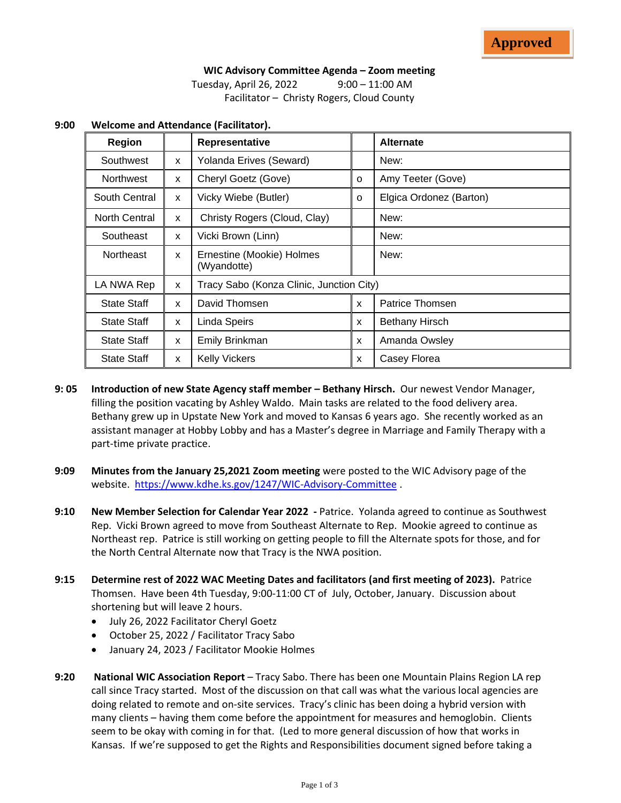# **WIC Advisory Committee Agenda – Zoom meeting**

Tuesday, April 26, 2022 9:00 – 11:00 AM Facilitator – Christy Rogers, Cloud County

| <b>Region</b>        |              | Representative                           |              | <b>Alternate</b>        |
|----------------------|--------------|------------------------------------------|--------------|-------------------------|
| Southwest            | X            | Yolanda Erives (Seward)                  |              | New:                    |
| Northwest            | X            | Cheryl Goetz (Gove)                      | 0            | Amy Teeter (Gove)       |
| South Central        | X            | Vicky Wiebe (Butler)                     | O            | Elgica Ordonez (Barton) |
| <b>North Central</b> | $\mathsf{x}$ | Christy Rogers (Cloud, Clay)             |              | New:                    |
| Southeast            | X            | Vicki Brown (Linn)                       |              | New:                    |
| <b>Northeast</b>     | X            | Ernestine (Mookie) Holmes<br>(Wyandotte) |              | New:                    |
| LA NWA Rep           | X            | Tracy Sabo (Konza Clinic, Junction City) |              |                         |
| <b>State Staff</b>   | X            | David Thomsen                            | X            | Patrice Thomsen         |
| <b>State Staff</b>   | X            | Linda Speirs                             | $\mathsf{x}$ | <b>Bethany Hirsch</b>   |
| <b>State Staff</b>   | X            | Emily Brinkman                           | X            | Amanda Owsley           |
| <b>State Staff</b>   | X            | <b>Kelly Vickers</b>                     | X            | Casey Florea            |

#### **9:00 Welcome and Attendance (Facilitator).**

- **9: 05 Introduction of new State Agency staff member – Bethany Hirsch.** Our newest Vendor Manager, filling the position vacating by Ashley Waldo. Main tasks are related to the food delivery area. Bethany grew up in Upstate New York and moved to Kansas 6 years ago. She recently worked as an assistant manager at Hobby Lobby and has a Master's degree in Marriage and Family Therapy with a part-time private practice.
- **9:09 Minutes from the January 25,2021 Zoom meeting** were posted to the WIC Advisory page of the website. <https://www.kdhe.ks.gov/1247/WIC-Advisory-Committee>.
- **9:10 New Member Selection for Calendar Year 2022 -** Patrice. Yolanda agreed to continue as Southwest Rep. Vicki Brown agreed to move from Southeast Alternate to Rep. Mookie agreed to continue as Northeast rep. Patrice is still working on getting people to fill the Alternate spots for those, and for the North Central Alternate now that Tracy is the NWA position.
- **9:15 Determine rest of 2022 WAC Meeting Dates and facilitators (and first meeting of 2023).** Patrice Thomsen. Have been 4th Tuesday, 9:00-11:00 CT of July, October, January. Discussion about shortening but will leave 2 hours.
	- July 26, 2022 Facilitator Cheryl Goetz
	- October 25, 2022 / Facilitator Tracy Sabo
	- January 24, 2023 / Facilitator Mookie Holmes
- **9:20 National WIC Association Report** Tracy Sabo. There has been one Mountain Plains Region LA rep call since Tracy started. Most of the discussion on that call was what the various local agencies are doing related to remote and on-site services. Tracy's clinic has been doing a hybrid version with many clients – having them come before the appointment for measures and hemoglobin. Clients seem to be okay with coming in for that. (Led to more general discussion of how that works in Kansas. If we're supposed to get the Rights and Responsibilities document signed before taking a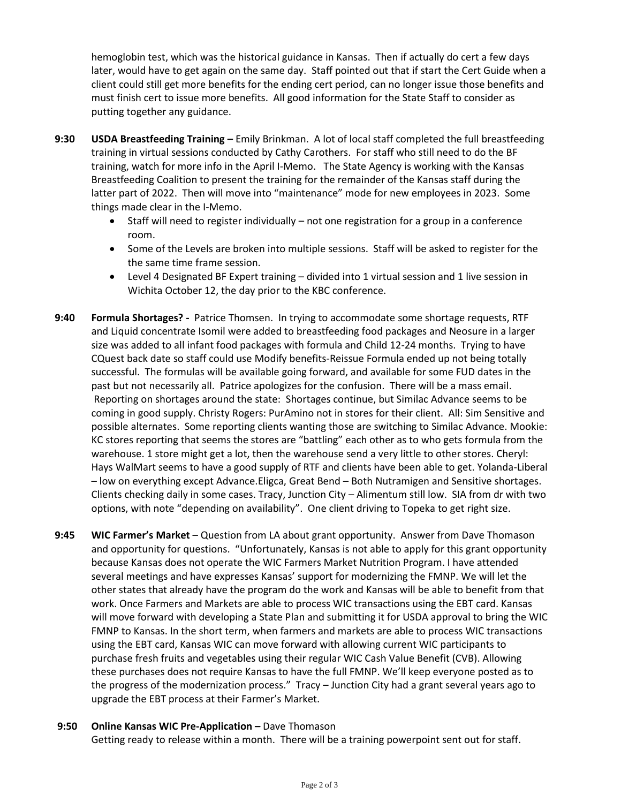hemoglobin test, which was the historical guidance in Kansas. Then if actually do cert a few days later, would have to get again on the same day. Staff pointed out that if start the Cert Guide when a client could still get more benefits for the ending cert period, can no longer issue those benefits and must finish cert to issue more benefits. All good information for the State Staff to consider as putting together any guidance.

- **9:30 USDA Breastfeeding Training –** Emily Brinkman. A lot of local staff completed the full breastfeeding training in virtual sessions conducted by Cathy Carothers. For staff who still need to do the BF training, watch for more info in the April I-Memo. The State Agency is working with the Kansas Breastfeeding Coalition to present the training for the remainder of the Kansas staff during the latter part of 2022. Then will move into "maintenance" mode for new employees in 2023. Some things made clear in the I-Memo.
	- Staff will need to register individually not one registration for a group in a conference room.
	- Some of the Levels are broken into multiple sessions. Staff will be asked to register for the the same time frame session.
	- Level 4 Designated BF Expert training divided into 1 virtual session and 1 live session in Wichita October 12, the day prior to the KBC conference.
- **9:40 Formula Shortages?** Patrice Thomsen. In trying to accommodate some shortage requests, RTF and Liquid concentrate Isomil were added to breastfeeding food packages and Neosure in a larger size was added to all infant food packages with formula and Child 12-24 months. Trying to have CQuest back date so staff could use Modify benefits-Reissue Formula ended up not being totally successful. The formulas will be available going forward, and available for some FUD dates in the past but not necessarily all. Patrice apologizes for the confusion. There will be a mass email. Reporting on shortages around the state: Shortages continue, but Similac Advance seems to be coming in good supply. Christy Rogers: PurAmino not in stores for their client. All: Sim Sensitive and possible alternates. Some reporting clients wanting those are switching to Similac Advance. Mookie: KC stores reporting that seems the stores are "battling" each other as to who gets formula from the warehouse. 1 store might get a lot, then the warehouse send a very little to other stores. Cheryl: Hays WalMart seems to have a good supply of RTF and clients have been able to get. Yolanda-Liberal – low on everything except Advance.Eligca, Great Bend – Both Nutramigen and Sensitive shortages. Clients checking daily in some cases. Tracy, Junction City – Alimentum still low. SIA from dr with two options, with note "depending on availability". One client driving to Topeka to get right size.
- **9:45 WIC Farmer's Market** Question from LA about grant opportunity. Answer from Dave Thomason and opportunity for questions. "Unfortunately, Kansas is not able to apply for this grant opportunity because Kansas does not operate the WIC Farmers Market Nutrition Program. I have attended several meetings and have expresses Kansas' support for modernizing the FMNP. We will let the other states that already have the program do the work and Kansas will be able to benefit from that work. Once Farmers and Markets are able to process WIC transactions using the EBT card. Kansas will move forward with developing a State Plan and submitting it for USDA approval to bring the WIC FMNP to Kansas. In the short term, when farmers and markets are able to process WIC transactions using the EBT card, Kansas WIC can move forward with allowing current WIC participants to purchase fresh fruits and vegetables using their regular WIC Cash Value Benefit (CVB). Allowing these purchases does not require Kansas to have the full FMNP. We'll keep everyone posted as to the progress of the modernization process." Tracy – Junction City had a grant several years ago to upgrade the EBT process at their Farmer's Market.

### **9:50 Online Kansas WIC Pre-Application –** Dave Thomason

Getting ready to release within a month. There will be a training powerpoint sent out for staff.